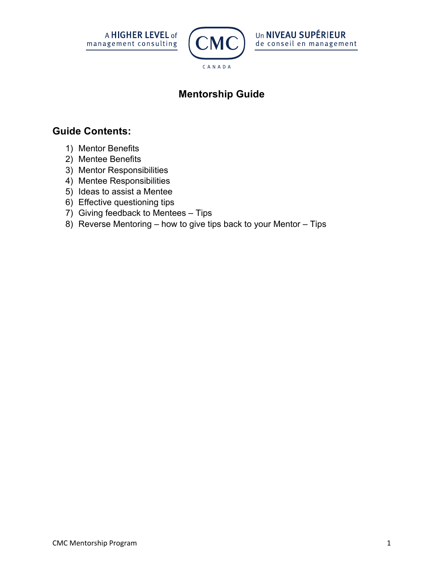



# **Mentorship Guide**

## **Guide Contents:**

- 1) Mentor Benefits
- 2) Mentee Benefits
- 3) Mentor Responsibilities
- 4) Mentee Responsibilities
- 5) Ideas to assist a Mentee
- 6) Effective questioning tips
- 7) Giving feedback to Mentees Tips
- 8) Reverse Mentoring how to give tips back to your Mentor Tips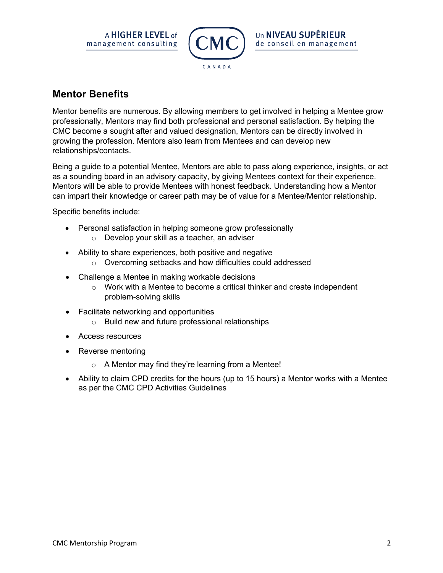



### **Mentor Benefits**

Mentor benefits are numerous. By allowing members to get involved in helping a Mentee grow professionally, Mentors may find both professional and personal satisfaction. By helping the CMC become a sought after and valued designation, Mentors can be directly involved in growing the profession. Mentors also learn from Mentees and can develop new relationships/contacts.

Being a guide to a potential Mentee, Mentors are able to pass along experience, insights, or act as a sounding board in an advisory capacity, by giving Mentees context for their experience. Mentors will be able to provide Mentees with honest feedback. Understanding how a Mentor can impart their knowledge or career path may be of value for a Mentee/Mentor relationship.

Specific benefits include:

- Personal satisfaction in helping someone grow professionally
	- o Develop your skill as a teacher, an adviser
- Ability to share experiences, both positive and negative
	- o Overcoming setbacks and how difficulties could addressed
- Challenge a Mentee in making workable decisions
	- o Work with a Mentee to become a critical thinker and create independent problem-solving skills
- Facilitate networking and opportunities
	- o Build new and future professional relationships
- Access resources
- Reverse mentoring
	- o A Mentor may find they're learning from a Mentee!
- Ability to claim CPD credits for the hours (up to 15 hours) a Mentor works with a Mentee as per the CMC CPD Activities Guidelines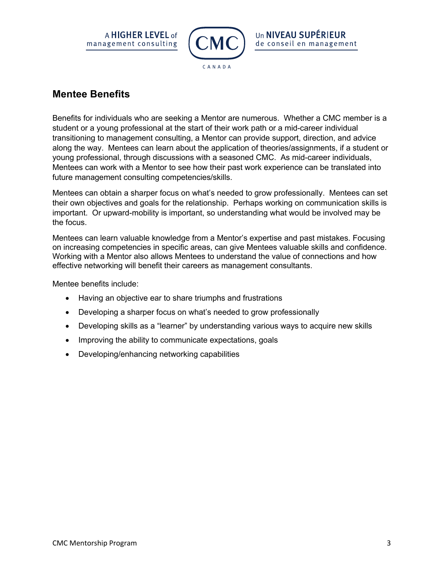



### **Mentee Benefits**

Benefits for individuals who are seeking a Mentor are numerous. Whether a CMC member is a student or a young professional at the start of their work path or a mid-career individual transitioning to management consulting, a Mentor can provide support, direction, and advice along the way. Mentees can learn about the application of theories/assignments, if a student or young professional, through discussions with a seasoned CMC. As mid-career individuals, Mentees can work with a Mentor to see how their past work experience can be translated into future management consulting competencies/skills.

Mentees can obtain a sharper focus on what's needed to grow professionally. Mentees can set their own objectives and goals for the relationship. Perhaps working on communication skills is important. Or upward-mobility is important, so understanding what would be involved may be the focus.

Mentees can learn valuable knowledge from a Mentor's expertise and past mistakes. Focusing on increasing competencies in specific areas, can give Mentees valuable skills and confidence. Working with a Mentor also allows Mentees to understand the value of connections and how effective networking will benefit their careers as management consultants.

Mentee benefits include:

- Having an objective ear to share triumphs and frustrations
- Developing a sharper focus on what's needed to grow professionally
- Developing skills as a "learner" by understanding various ways to acquire new skills
- Improving the ability to communicate expectations, goals
- Developing/enhancing networking capabilities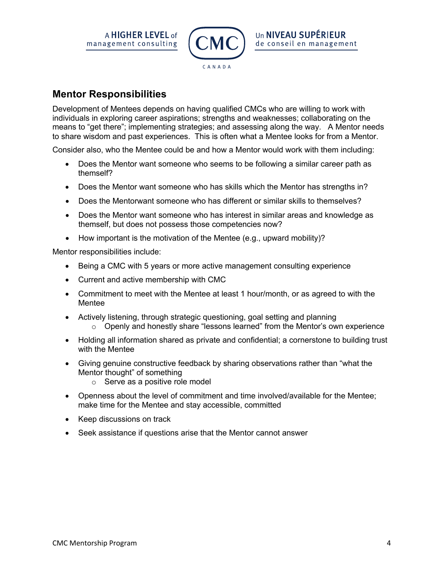



### **Mentor Responsibilities**

Development of Mentees depends on having qualified CMCs who are willing to work with individuals in exploring career aspirations; strengths and weaknesses; collaborating on the means to "get there"; implementing strategies; and assessing along the way. A Mentor needs to share wisdom and past experiences. This is often what a Mentee looks for from a Mentor.

Consider also, who the Mentee could be and how a Mentor would work with them including:

- Does the Mentor want someone who seems to be following a similar career path as themself?
- Does the Mentor want someone who has skills which the Mentor has strengths in?
- Does the Mentorwant someone who has different or similar skills to themselves?
- Does the Mentor want someone who has interest in similar areas and knowledge as themself, but does not possess those competencies now?
- How important is the motivation of the Mentee (e.g., upward mobility)?

Mentor responsibilities include:

- Being a CMC with 5 years or more active management consulting experience
- Current and active membership with CMC
- Commitment to meet with the Mentee at least 1 hour/month, or as agreed to with the Mentee
- Actively listening, through strategic questioning, goal setting and planning
	- $\circ$  Openly and honestly share "lessons learned" from the Mentor's own experience
- Holding all information shared as private and confidential; a cornerstone to building trust with the Mentee
- Giving genuine constructive feedback by sharing observations rather than "what the Mentor thought" of something
	- o Serve as a positive role model
- Openness about the level of commitment and time involved/available for the Mentee; make time for the Mentee and stay accessible, committed
- Keep discussions on track
- Seek assistance if questions arise that the Mentor cannot answer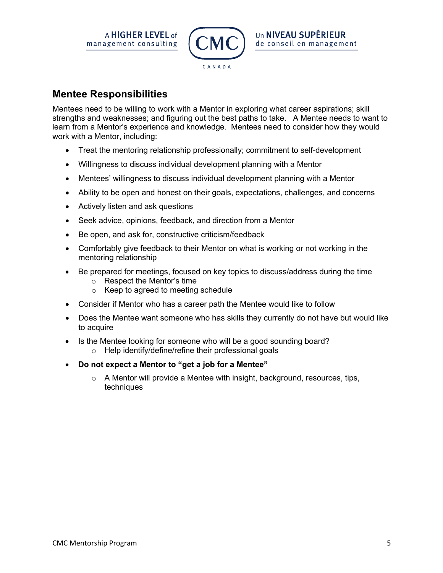



### **Mentee Responsibilities**

Mentees need to be willing to work with a Mentor in exploring what career aspirations; skill strengths and weaknesses; and figuring out the best paths to take. A Mentee needs to want to learn from a Mentor's experience and knowledge. Mentees need to consider how they would work with a Mentor, including:

- Treat the mentoring relationship professionally; commitment to self-development
- Willingness to discuss individual development planning with a Mentor
- Mentees' willingness to discuss individual development planning with a Mentor
- Ability to be open and honest on their goals, expectations, challenges, and concerns
- Actively listen and ask questions
- Seek advice, opinions, feedback, and direction from a Mentor
- Be open, and ask for, constructive criticism/feedback
- Comfortably give feedback to their Mentor on what is working or not working in the mentoring relationship
- Be prepared for meetings, focused on key topics to discuss/address during the time
	- o Respect the Mentor's time
	- o Keep to agreed to meeting schedule
- Consider if Mentor who has a career path the Mentee would like to follow
- Does the Mentee want someone who has skills they currently do not have but would like to acquire
- Is the Mentee looking for someone who will be a good sounding board?
	- o Help identify/define/refine their professional goals
- **Do not expect a Mentor to "get a job for a Mentee"**
	- o A Mentor will provide a Mentee with insight, background, resources, tips, techniques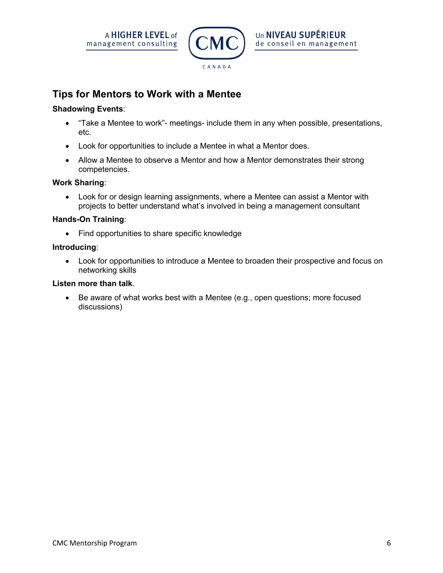



### **Tips for Mentors to Work with a Mentee**

#### **Shadowing Events**:

- "Take a Mentee to work"- meetings- include them in any when possible, presentations, etc.
- Look for opportunities to include a Mentee in what a Mentor does.
- Allow a Mentee to observe a Mentor and how a Mentor demonstrates their strong competencies.

#### **Work Sharing**:

• Look for or design learning assignments, where a Mentee can assist a Mentor with projects to better understand what's involved in being a management consultant

#### **Hands-On Training**:

• Find opportunities to share specific knowledge

#### **Introducing**:

• Look for opportunities to introduce a Mentee to broaden their prospective and focus on networking skills

#### **Listen more than talk**.

• Be aware of what works best with a Mentee (e.g., open questions; more focused discussions)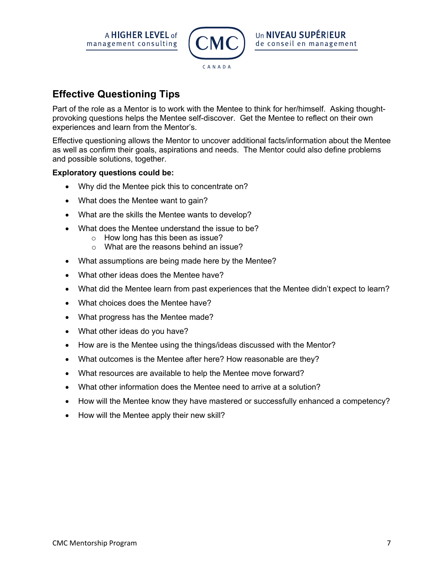A **HIGHER LEVEL** of management consulting



# **Effective Questioning Tips**

Part of the role as a Mentor is to work with the Mentee to think for her/himself. Asking thoughtprovoking questions helps the Mentee self-discover. Get the Mentee to reflect on their own experiences and learn from the Mentor's.

Effective questioning allows the Mentor to uncover additional facts/information about the Mentee as well as confirm their goals, aspirations and needs. The Mentor could also define problems and possible solutions, together.

#### **Exploratory questions could be:**

- Why did the Mentee pick this to concentrate on?
- What does the Mentee want to gain?
- What are the skills the Mentee wants to develop?
- What does the Mentee understand the issue to be?
	- o How long has this been as issue?
	- o What are the reasons behind an issue?
- What assumptions are being made here by the Mentee?
- What other ideas does the Mentee have?
- What did the Mentee learn from past experiences that the Mentee didn't expect to learn?
- What choices does the Mentee have?
- What progress has the Mentee made?
- What other ideas do you have?
- How are is the Mentee using the things/ideas discussed with the Mentor?
- What outcomes is the Mentee after here? How reasonable are they?
- What resources are available to help the Mentee move forward?
- What other information does the Mentee need to arrive at a solution?
- How will the Mentee know they have mastered or successfully enhanced a competency?
- How will the Mentee apply their new skill?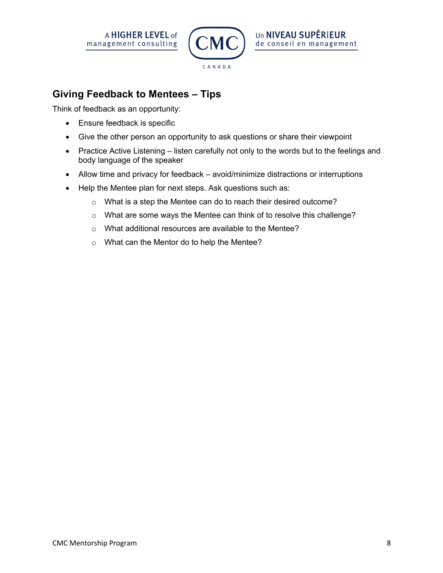



CANADA

## **Giving Feedback to Mentees – Tips**

Think of feedback as an opportunity:

- Ensure feedback is specific
- Give the other person an opportunity to ask questions or share their viewpoint
- Practice Active Listening listen carefully not only to the words but to the feelings and body language of the speaker
- Allow time and privacy for feedback avoid/minimize distractions or interruptions
- Help the Mentee plan for next steps. Ask questions such as:
	- o What is a step the Mentee can do to reach their desired outcome?
	- o What are some ways the Mentee can think of to resolve this challenge?
	- o What additional resources are available to the Mentee?
	- o What can the Mentor do to help the Mentee?